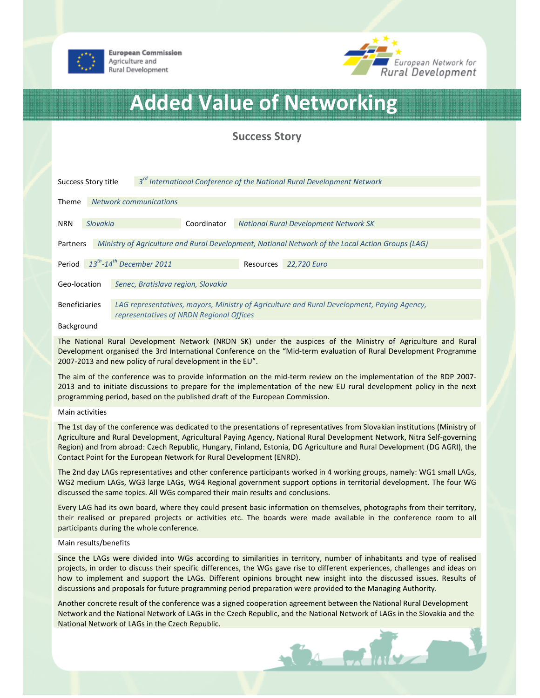



# Added Value of Networking

# Success Story

| 3 <sup>ra</sup> International Conference of the National Rural Development Network<br>Success Story title    |          |                                                                                                                                        |             |           |                                              |  |
|--------------------------------------------------------------------------------------------------------------|----------|----------------------------------------------------------------------------------------------------------------------------------------|-------------|-----------|----------------------------------------------|--|
| <b>Theme</b>                                                                                                 |          | <b>Network communications</b>                                                                                                          |             |           |                                              |  |
| <b>NRN</b>                                                                                                   | Slovakia |                                                                                                                                        | Coordinator |           | <b>National Rural Development Network SK</b> |  |
| Ministry of Agriculture and Rural Development, National Network of the Local Action Groups (LAG)<br>Partners |          |                                                                                                                                        |             |           |                                              |  |
|                                                                                                              |          | Period $13^{th}$ -14 <sup>th</sup> December 2011                                                                                       |             | Resources | 22,720 Euro                                  |  |
| Geo-location                                                                                                 |          | Senec, Bratislava region, Slovakia                                                                                                     |             |           |                                              |  |
| <b>Beneficiaries</b>                                                                                         |          | LAG representatives, mayors, Ministry of Agriculture and Rural Development, Paying Agency,<br>representatives of NRDN Regional Offices |             |           |                                              |  |

### Background

The National Rural Development Network (NRDN SK) under the auspices of the Ministry of Agriculture and Rural Development organised the 3rd International Conference on the "Mid-term evaluation of Rural Development Programme 2007-2013 and new policy of rural development in the EU".

The aim of the conference was to provide information on the mid-term review on the implementation of the RDP 2007- 2013 and to initiate discussions to prepare for the implementation of the new EU rural development policy in the next programming period, based on the published draft of the European Commission.

## Main activities

The 1st day of the conference was dedicated to the presentations of representatives from Slovakian institutions (Ministry of Agriculture and Rural Development, Agricultural Paying Agency, National Rural Development Network, Nitra Self-governing Region) and from abroad: Czech Republic, Hungary, Finland, Estonia, DG Agriculture and Rural Development (DG AGRI), the Contact Point for the European Network for Rural Development (ENRD).

The 2nd day LAGs representatives and other conference participants worked in 4 working groups, namely: WG1 small LAGs, WG2 medium LAGs, WG3 large LAGs, WG4 Regional government support options in territorial development. The four WG discussed the same topics. All WGs compared their main results and conclusions.

Every LAG had its own board, where they could present basic information on themselves, photographs from their territory, their realised or prepared projects or activities etc. The boards were made available in the conference room to all participants during the whole conference.

# Main results/benefits

Since the LAGs were divided into WGs according to similarities in territory, number of inhabitants and type of realised projects, in order to discuss their specific differences, the WGs gave rise to different experiences, challenges and ideas on how to implement and support the LAGs. Different opinions brought new insight into the discussed issues. Results of discussions and proposals for future programming period preparation were provided to the Managing Authority.

Another concrete result of the conference was a signed cooperation agreement between the National Rural Development Network and the National Network of LAGs in the Czech Republic, and the National Network of LAGs in the Slovakia and the National Network of LAGs in the Czech Republic.

 $4 - 50$   $\mu$